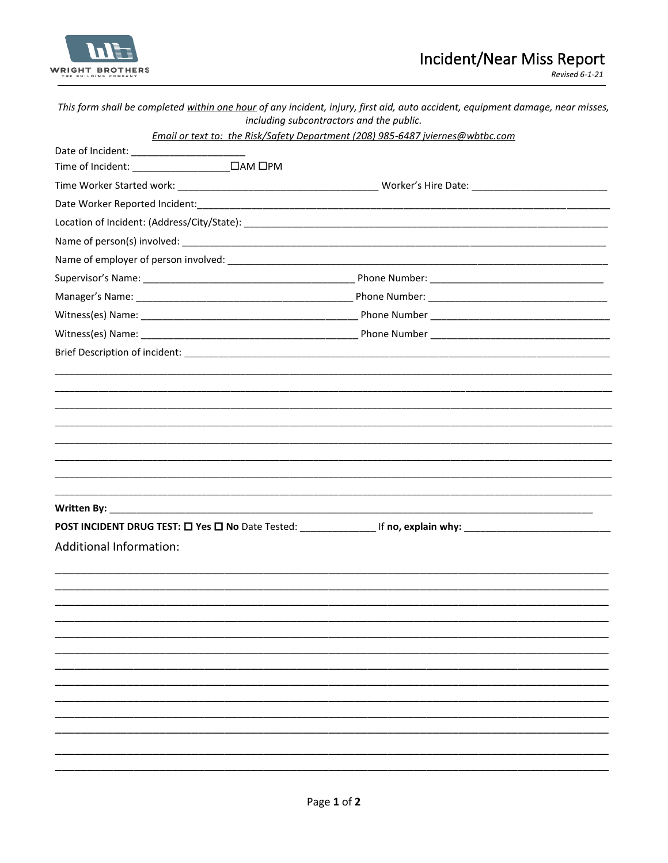

|                                | This form shall be completed within one hour of any incident, injury, first aid, auto accident, equipment damage, near misses,<br>including subcontractors and the public. |  |
|--------------------------------|----------------------------------------------------------------------------------------------------------------------------------------------------------------------------|--|
|                                | Email or text to: the Risk/Safety Department (208) 985-6487 jviernes@wbtbc.com                                                                                             |  |
|                                |                                                                                                                                                                            |  |
|                                |                                                                                                                                                                            |  |
|                                |                                                                                                                                                                            |  |
|                                |                                                                                                                                                                            |  |
|                                |                                                                                                                                                                            |  |
|                                |                                                                                                                                                                            |  |
|                                |                                                                                                                                                                            |  |
|                                |                                                                                                                                                                            |  |
|                                |                                                                                                                                                                            |  |
|                                |                                                                                                                                                                            |  |
|                                |                                                                                                                                                                            |  |
|                                |                                                                                                                                                                            |  |
|                                |                                                                                                                                                                            |  |
|                                |                                                                                                                                                                            |  |
|                                |                                                                                                                                                                            |  |
|                                |                                                                                                                                                                            |  |
|                                |                                                                                                                                                                            |  |
|                                |                                                                                                                                                                            |  |
|                                |                                                                                                                                                                            |  |
|                                |                                                                                                                                                                            |  |
|                                |                                                                                                                                                                            |  |
|                                |                                                                                                                                                                            |  |
| <b>Additional Information:</b> |                                                                                                                                                                            |  |
|                                |                                                                                                                                                                            |  |
|                                |                                                                                                                                                                            |  |
|                                |                                                                                                                                                                            |  |
|                                |                                                                                                                                                                            |  |
|                                |                                                                                                                                                                            |  |
|                                |                                                                                                                                                                            |  |
|                                |                                                                                                                                                                            |  |
|                                |                                                                                                                                                                            |  |
|                                |                                                                                                                                                                            |  |
|                                |                                                                                                                                                                            |  |
|                                |                                                                                                                                                                            |  |
|                                |                                                                                                                                                                            |  |
|                                |                                                                                                                                                                            |  |